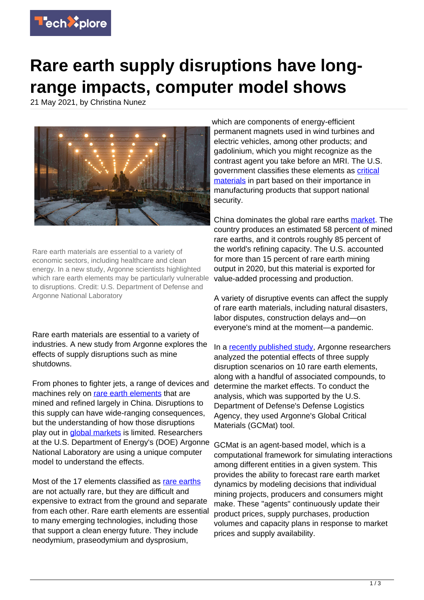

## **Rare earth supply disruptions have longrange impacts, computer model shows**

21 May 2021, by Christina Nunez



Rare earth materials are essential to a variety of economic sectors, including healthcare and clean energy. In a new study, Argonne scientists highlighted which rare earth elements may be particularly vulnerable to disruptions. Credit: U.S. Department of Defense and Argonne National Laboratory

Rare earth materials are essential to a variety of industries. A new study from Argonne explores the effects of supply disruptions such as mine shutdowns.

From phones to fighter jets, a range of devices and machines rely on [rare earth elements](https://techxplore.com/tags/rare+earth+elements/) that are mined and refined largely in China. Disruptions to this supply can have wide-ranging consequences, but the understanding of how those disruptions play out in [global markets](https://techxplore.com/tags/global+markets/) is limited. Researchers at the U.S. Department of Energy's (DOE) Argonne National Laboratory are using a unique computer model to understand the effects.

Most of the 17 elements classified as [rare earths](https://techxplore.com/tags/rare+earths/) are not actually rare, but they are difficult and expensive to extract from the ground and separate from each other. Rare earth elements are essential to many emerging technologies, including those that support a clean energy future. They include neodymium, praseodymium and dysprosium,

which are components of energy-efficient permanent magnets used in wind turbines and electric vehicles, among other products; and gadolinium, which you might recognize as the contrast agent you take before an MRI. The U.S. government classifies these elements as [critical](https://www.federalregister.gov/documents/2018/05/18/2018-10667/final-list-of-critical-minerals-2018) [materials](https://www.federalregister.gov/documents/2018/05/18/2018-10667/final-list-of-critical-minerals-2018) in part based on their importance in manufacturing products that support national security.

China dominates the global rare earths [market.](https://techxplore.com/tags/market/) The country produces an estimated 58 percent of mined rare earths, and it controls roughly 85 percent of the world's refining capacity. The U.S. accounted for more than 15 percent of rare earth mining output in 2020, but this material is exported for value-added processing and production.

A variety of disruptive events can affect the supply of rare earth materials, including natural disasters, labor disputes, construction delays and—on everyone's mind at the moment—a pandemic.

In a [recently published study,](https://www.sciencedirect.com/science/article/abs/pii/S0921344920305103) Argonne researchers analyzed the potential effects of three supply disruption scenarios on 10 rare earth elements, along with a handful of associated compounds, to determine the market effects. To conduct the analysis, which was supported by the U.S. Department of Defense's Defense Logistics Agency, they used Argonne's Global Critical Materials (GCMat) tool.

GCMat is an agent-based model, which is a computational framework for simulating interactions among different entities in a given system. This provides the ability to forecast rare earth market dynamics by modeling decisions that individual mining projects, producers and consumers might make. These "agents" continuously update their product prices, supply purchases, production volumes and capacity plans in response to market prices and supply availability.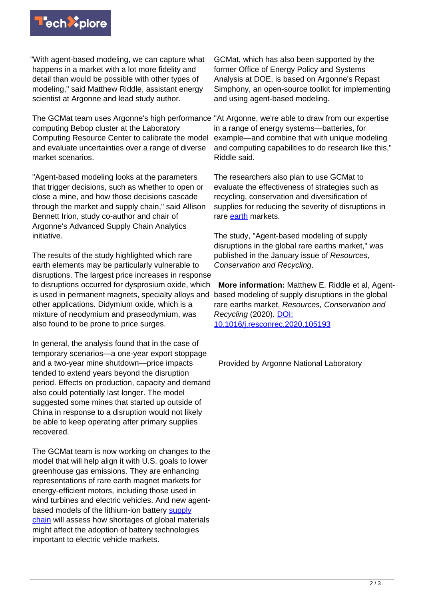

"With agent-based modeling, we can capture what happens in a market with a lot more fidelity and detail than would be possible with other types of modeling," said Matthew Riddle, assistant energy scientist at Argonne and lead study author.

The GCMat team uses Argonne's high performance "At Argonne, we're able to draw from our expertise computing Bebop cluster at the Laboratory Computing Resource Center to calibrate the model and evaluate uncertainties over a range of diverse market scenarios.

"Agent-based modeling looks at the parameters that trigger decisions, such as whether to open or close a mine, and how those decisions cascade through the market and supply chain," said Allison Bennett Irion, study co-author and chair of Argonne's Advanced Supply Chain Analytics initiative.

The results of the study highlighted which rare earth elements may be particularly vulnerable to disruptions. The largest price increases in response to disruptions occurred for dysprosium oxide, which is used in permanent magnets, specialty alloys and based modeling of supply disruptions in the global other applications. Didymium oxide, which is a mixture of neodymium and praseodymium, was also found to be prone to price surges.

In general, the analysis found that in the case of temporary scenarios—a one-year export stoppage and a two-year mine shutdown—price impacts tended to extend years beyond the disruption period. Effects on production, capacity and demand also could potentially last longer. The model suggested some mines that started up outside of China in response to a disruption would not likely be able to keep operating after primary supplies recovered.

The GCMat team is now working on changes to the model that will help align it with U.S. goals to lower greenhouse gas emissions. They are enhancing representations of rare earth magnet markets for energy-efficient motors, including those used in wind turbines and electric vehicles. And new agentbased models of the lithium-ion battery [supply](https://techxplore.com/tags/supply+chain/) [chain](https://techxplore.com/tags/supply+chain/) will assess how shortages of global materials might affect the adoption of battery technologies important to electric vehicle markets.

GCMat, which has also been supported by the former Office of Energy Policy and Systems Analysis at DOE, is based on Argonne's Repast Simphony, an open-source toolkit for implementing and using agent-based modeling.

in a range of energy systems—batteries, for example—and combine that with unique modeling and computing capabilities to do research like this," Riddle said.

The researchers also plan to use GCMat to evaluate the effectiveness of strategies such as recycling, conservation and diversification of supplies for reducing the severity of disruptions in rare [earth](https://techxplore.com/tags/earth/) markets.

The study, "Agent-based modeling of supply disruptions in the global rare earths market," was published in the January issue of Resources, Conservation and Recycling.

**More information: Matthew E. Riddle et al. Agent**rare earths market, Resources, Conservation and Recycling (2020). [DOI:](http://dx.doi.org/10.1016/j.resconrec.2020.105193) [10.1016/j.resconrec.2020.105193](http://dx.doi.org/10.1016/j.resconrec.2020.105193)

Provided by Argonne National Laboratory